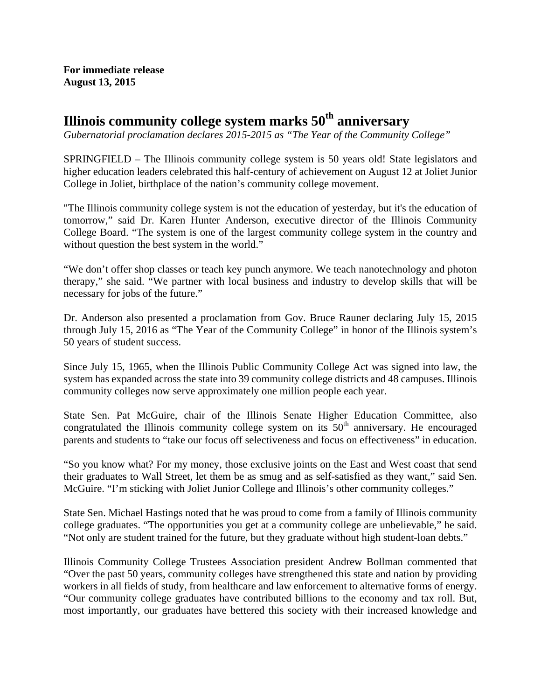**For immediate release August 13, 2015** 

## **Illinois community college system marks 50th anniversary**

*Gubernatorial proclamation declares 2015-2015 as "The Year of the Community College"* 

SPRINGFIELD – The Illinois community college system is 50 years old! State legislators and higher education leaders celebrated this half-century of achievement on August 12 at Joliet Junior College in Joliet, birthplace of the nation's community college movement.

"The Illinois community college system is not the education of yesterday, but it's the education of tomorrow," said Dr. Karen Hunter Anderson, executive director of the Illinois Community College Board. "The system is one of the largest community college system in the country and without question the best system in the world."

"We don't offer shop classes or teach key punch anymore. We teach nanotechnology and photon therapy," she said. "We partner with local business and industry to develop skills that will be necessary for jobs of the future."

Dr. Anderson also presented a proclamation from Gov. Bruce Rauner declaring July 15, 2015 through July 15, 2016 as "The Year of the Community College" in honor of the Illinois system's 50 years of student success.

Since July 15, 1965, when the Illinois Public Community College Act was signed into law, the system has expanded across the state into 39 community college districts and 48 campuses. Illinois community colleges now serve approximately one million people each year.

State Sen. Pat McGuire, chair of the Illinois Senate Higher Education Committee, also congratulated the Illinois community college system on its  $50<sup>th</sup>$  anniversary. He encouraged parents and students to "take our focus off selectiveness and focus on effectiveness" in education.

"So you know what? For my money, those exclusive joints on the East and West coast that send their graduates to Wall Street, let them be as smug and as self-satisfied as they want," said Sen. McGuire. "I'm sticking with Joliet Junior College and Illinois's other community colleges."

State Sen. Michael Hastings noted that he was proud to come from a family of Illinois community college graduates. "The opportunities you get at a community college are unbelievable," he said. "Not only are student trained for the future, but they graduate without high student-loan debts."

Illinois Community College Trustees Association president Andrew Bollman commented that "Over the past 50 years, community colleges have strengthened this state and nation by providing workers in all fields of study, from healthcare and law enforcement to alternative forms of energy. "Our community college graduates have contributed billions to the economy and tax roll. But, most importantly, our graduates have bettered this society with their increased knowledge and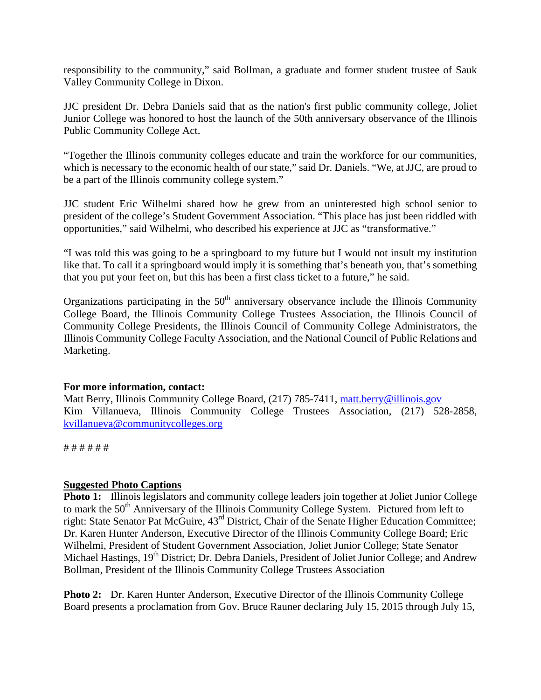responsibility to the community," said Bollman, a graduate and former student trustee of Sauk Valley Community College in Dixon.

JJC president Dr. Debra Daniels said that as the nation's first public community college, Joliet Junior College was honored to host the launch of the 50th anniversary observance of the Illinois Public Community College Act.

"Together the Illinois community colleges educate and train the workforce for our communities, which is necessary to the economic health of our state," said Dr. Daniels. "We, at JJC, are proud to be a part of the Illinois community college system."

JJC student Eric Wilhelmi shared how he grew from an uninterested high school senior to president of the college's Student Government Association. "This place has just been riddled with opportunities," said Wilhelmi, who described his experience at JJC as "transformative."

"I was told this was going to be a springboard to my future but I would not insult my institution like that. To call it a springboard would imply it is something that's beneath you, that's something that you put your feet on, but this has been a first class ticket to a future," he said.

Organizations participating in the  $50<sup>th</sup>$  anniversary observance include the Illinois Community College Board, the Illinois Community College Trustees Association, the Illinois Council of Community College Presidents, the Illinois Council of Community College Administrators, the Illinois Community College Faculty Association, and the National Council of Public Relations and Marketing.

## **For more information, contact:**

Matt Berry, Illinois Community College Board, (217) 785-7411, matt.berry@illinois.gov Kim Villanueva, Illinois Community College Trustees Association, (217) 528-2858, kvillanueva@communitycolleges.org

# # # # # #

## **Suggested Photo Captions**

**Photo 1:** Illinois legislators and community college leaders join together at Joliet Junior College to mark the 50<sup>th</sup> Anniversary of the Illinois Community College System. Pictured from left to right: State Senator Pat McGuire, 43rd District, Chair of the Senate Higher Education Committee; Dr. Karen Hunter Anderson, Executive Director of the Illinois Community College Board; Eric Wilhelmi, President of Student Government Association, Joliet Junior College; State Senator Michael Hastings, 19<sup>th</sup> District; Dr. Debra Daniels, President of Joliet Junior College; and Andrew Bollman, President of the Illinois Community College Trustees Association

**Photo 2:** Dr. Karen Hunter Anderson, Executive Director of the Illinois Community College Board presents a proclamation from Gov. Bruce Rauner declaring July 15, 2015 through July 15,